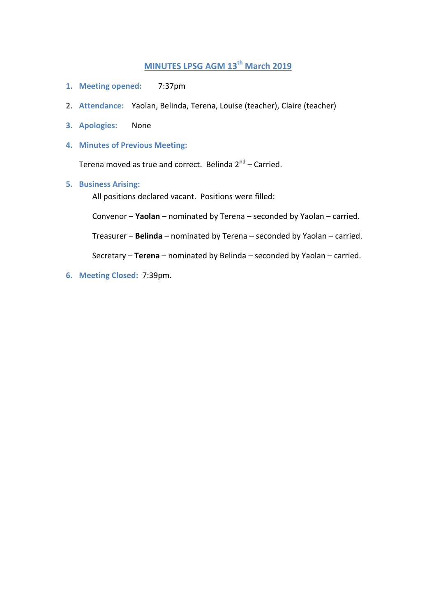# **MINUTES LPSG AGM 13th March 2019**

- **1. Meeting opened:** 7:37pm
- 2. **Attendance:** Yaolan, Belinda, Terena, Louise (teacher), Claire (teacher)
- **3. Apologies:** None
- **4. Minutes of Previous Meeting:**

Terena moved as true and correct. Belinda 2<sup>nd</sup> – Carried.

**5. Business Arising:**

All positions declared vacant. Positions were filled:

Convenor – **Yaolan** – nominated by Terena – seconded by Yaolan – carried.

Treasurer – **Belinda** – nominated by Terena – seconded by Yaolan – carried.

Secretary – **Terena** – nominated by Belinda – seconded by Yaolan – carried.

**6. Meeting Closed:** 7:39pm.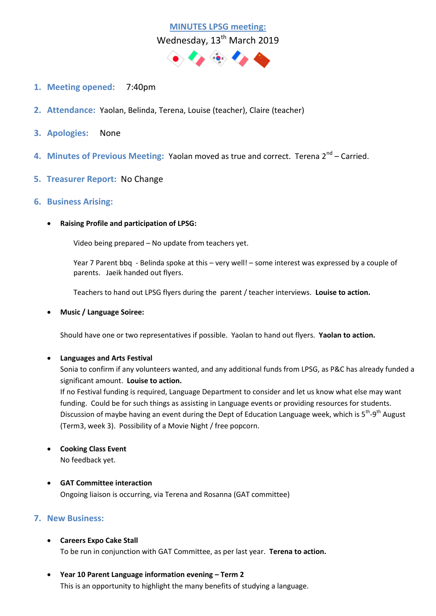

- **1. Meeting opened:** 7:40pm
- **2. Attendance:** Yaolan, Belinda, Terena, Louise (teacher), Claire (teacher)
- **3. Apologies:** None
- 4. Minutes of Previous Meeting: Yaolan moved as true and correct. Terena 2<sup>nd</sup> Carried.
- **5. Treasurer Report:** No Change
- **6. Business Arising:**
	- **Raising Profile and participation of LPSG:**

Video being prepared – No update from teachers yet.

Year 7 Parent bbq - Belinda spoke at this – very well! – some interest was expressed by a couple of parents. Jaeik handed out flyers.

Teachers to hand out LPSG flyers during the parent / teacher interviews. **Louise to action.**

**Music / Language Soiree:**

Should have one or two representatives if possible. Yaolan to hand out flyers. **Yaolan to action.**

#### **Languages and Arts Festival**

Sonia to confirm if any volunteers wanted, and any additional funds from LPSG, as P&C has already funded a significant amount. **Louise to action.**

If no Festival funding is required, Language Department to consider and let us know what else may want funding. Could be for such things as assisting in Language events or providing resources for students. Discussion of maybe having an event during the Dept of Education Language week, which is 5<sup>th</sup>-9<sup>th</sup> August (Term3, week 3). Possibility of a Movie Night / free popcorn.

- **Cooking Class Event** No feedback yet.
- **GAT Committee interaction** Ongoing liaison is occurring, via Terena and Rosanna (GAT committee)

### **7. New Business:**

- **Careers Expo Cake Stall** To be run in conjunction with GAT Committee, as per last year. **Terena to action.**
- **Year 10 Parent Language information evening – Term 2** This is an opportunity to highlight the many benefits of studying a language.